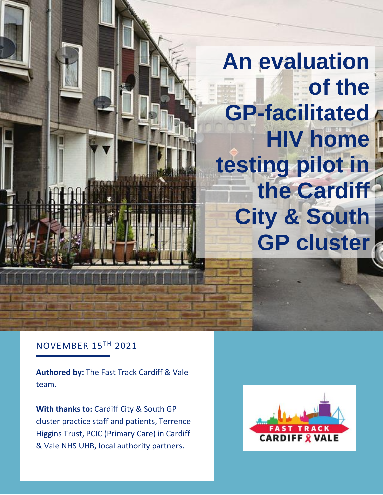# **An evaluation of the GP-facilitated HIV home testing pilot in the Cardiff City & South GP cluster**

### NOVEMBER 15TH 2021

**Authored by:** The Fast Track Cardiff & Vale team.

**With thanks to:** Cardiff City & South GP cluster practice staff and patients, Terrence Higgins Trust, PCIC (Primary Care) in Cardiff & Vale NHS UHB, local authority partners.

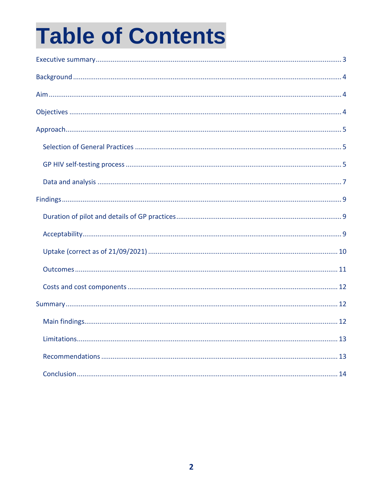# **Table of Contents**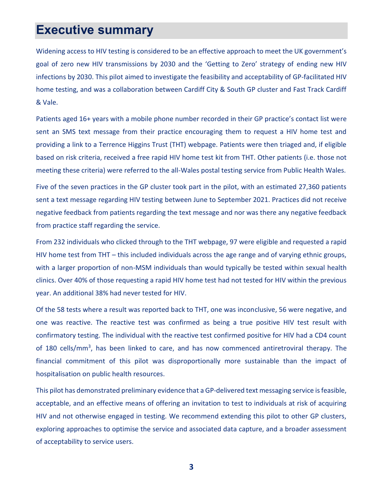# <span id="page-2-0"></span>**Executive summary**

Widening access to HIV testing is considered to be an effective approach to meet the UK government's goal of zero new HIV transmissions by 2030 and the 'Getting to Zero' strategy of ending new HIV infections by 2030. This pilot aimed to investigate the feasibility and acceptability of GP-facilitated HIV home testing, and was a collaboration between Cardiff City & South GP cluster and Fast Track Cardiff & Vale.

Patients aged 16+ years with a mobile phone number recorded in their GP practice's contact list were sent an SMS text message from their practice encouraging them to request a HIV home test and providing a link to a Terrence Higgins Trust (THT) webpage. Patients were then triaged and, if eligible based on risk criteria, received a free rapid HIV home test kit from THT. Other patients (i.e. those not meeting these criteria) were referred to the all-Wales postal testing service from Public Health Wales.

Five of the seven practices in the GP cluster took part in the pilot, with an estimated 27,360 patients sent a text message regarding HIV testing between June to September 2021. Practices did not receive negative feedback from patients regarding the text message and nor was there any negative feedback from practice staff regarding the service.

From 232 individuals who clicked through to the THT webpage, 97 were eligible and requested a rapid HIV home test from THT – this included individuals across the age range and of varying ethnic groups, with a larger proportion of non-MSM individuals than would typically be tested within sexual health clinics. Over 40% of those requesting a rapid HIV home test had not tested for HIV within the previous year. An additional 38% had never tested for HIV.

Of the 58 tests where a result was reported back to THT, one was inconclusive, 56 were negative, and one was reactive. The reactive test was confirmed as being a true positive HIV test result with confirmatory testing. The individual with the reactive test confirmed positive for HIV had a CD4 count of 180 cells/mm<sup>3</sup>, has been linked to care, and has now commenced antiretroviral therapy. The financial commitment of this pilot was disproportionally more sustainable than the impact of hospitalisation on public health resources.

This pilot has demonstrated preliminary evidence that a GP-delivered text messaging service is feasible, acceptable, and an effective means of offering an invitation to test to individuals at risk of acquiring HIV and not otherwise engaged in testing. We recommend extending this pilot to other GP clusters, exploring approaches to optimise the service and associated data capture, and a broader assessment of acceptability to service users.

**3**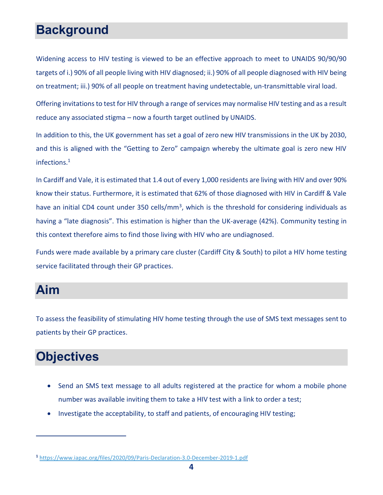# <span id="page-3-0"></span>**Background**

Widening access to HIV testing is viewed to be an effective approach to meet to UNAIDS 90/90/90 targets of i.) 90% of all people living with HIV diagnosed; ii.) 90% of all people diagnosed with HIV being on treatment; iii.) 90% of all people on treatment having undetectable, un-transmittable viral load.

Offering invitations to test for HIV through a range of services may normalise HIV testing and as a result reduce any associated stigma – now a fourth target outlined by UNAIDS.

In addition to this, the UK government has set a goal of zero new HIV transmissions in the UK by 2030, and this is aligned with the "Getting to Zero" campaign whereby the ultimate goal is zero new HIV infections.<sup>1</sup>

In Cardiff and Vale, it is estimated that 1.4 out of every 1,000 residents are living with HIV and over 90% know their status. Furthermore, it is estimated that 62% of those diagnosed with HIV in Cardiff & Vale have an initial CD4 count under 350 cells/mm<sup>3</sup>, which is the threshold for considering individuals as having a "late diagnosis". This estimation is higher than the UK-average (42%). Community testing in this context therefore aims to find those living with HIV who are undiagnosed.

Funds were made available by a primary care cluster (Cardiff City & South) to pilot a HIV home testing service facilitated through their GP practices.

# <span id="page-3-1"></span>**Aim**

To assess the feasibility of stimulating HIV home testing through the use of SMS text messages sent to patients by their GP practices.

# <span id="page-3-2"></span>**Objectives**

- Send an SMS text message to all adults registered at the practice for whom a mobile phone number was available inviting them to take a HIV test with a link to order a test;
- Investigate the acceptability, to staff and patients, of encouraging HIV testing;

**<sup>1</sup>** <https://www.iapac.org/files/2020/09/Paris-Declaration-3.0-December-2019-1.pdf>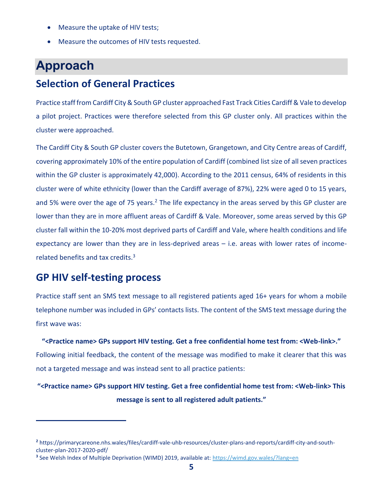- Measure the uptake of HIV tests;
- Measure the outcomes of HIV tests requested.

# <span id="page-4-0"></span>**Approach**

## <span id="page-4-1"></span>**Selection of General Practices**

Practice staff from Cardiff City & South GP cluster approached Fast Track Cities Cardiff & Vale to develop a pilot project. Practices were therefore selected from this GP cluster only. All practices within the cluster were approached.

The Cardiff City & South GP cluster covers the Butetown, Grangetown, and City Centre areas of Cardiff, covering approximately 10% of the entire population of Cardiff (combined list size of all seven practices within the GP cluster is approximately 42,000). According to the 2011 census, 64% of residents in this cluster were of white ethnicity (lower than the Cardiff average of 87%), 22% were aged 0 to 15 years, and 5% were over the age of 75 years.<sup>2</sup> The life expectancy in the areas served by this GP cluster are lower than they are in more affluent areas of Cardiff & Vale. Moreover, some areas served by this GP cluster fall within the 10-20% most deprived parts of Cardiff and Vale, where health conditions and life expectancy are lower than they are in less-deprived areas – i.e. areas with lower rates of incomerelated benefits and tax credits.<sup>3</sup>

## <span id="page-4-2"></span>**GP HIV self-testing process**

Practice staff sent an SMS text message to all registered patients aged 16+ years for whom a mobile telephone number was included in GPs' contacts lists. The content of the SMS text message during the first wave was:

**"<Practice name> GPs support HIV testing. Get a free confidential home test from: <Web-link>."** Following initial feedback, the content of the message was modified to make it clearer that this was not a targeted message and was instead sent to all practice patients:

**"<Practice name> GPs support HIV testing. Get a free confidential home test from: <Web-link> This message is sent to all registered adult patients."**

**<sup>2</sup>** https://primarycareone.nhs.wales/files/cardiff-vale-uhb-resources/cluster-plans-and-reports/cardiff-city-and-southcluster-plan-2017-2020-pdf/

<sup>&</sup>lt;sup>3</sup> See Welsh Index of Multiple Deprivation (WIMD) 2019, available at:<https://wimd.gov.wales/?lang=en>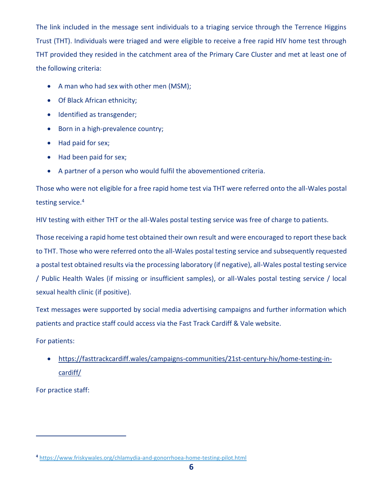The link included in the message sent individuals to a triaging service through the Terrence Higgins Trust (THT). Individuals were triaged and were eligible to receive a free rapid HIV home test through THT provided they resided in the catchment area of the Primary Care Cluster and met at least one of the following criteria:

- A man who had sex with other men (MSM);
- Of Black African ethnicity;
- Identified as transgender;
- Born in a high-prevalence country;
- Had paid for sex;
- Had been paid for sex;
- A partner of a person who would fulfil the abovementioned criteria.

Those who were not eligible for a free rapid home test via THT were referred onto the all-Wales postal testing service.<sup>4</sup>

HIV testing with either THT or the all-Wales postal testing service was free of charge to patients.

Those receiving a rapid home test obtained their own result and were encouraged to report these back to THT. Those who were referred onto the all-Wales postal testing service and subsequently requested a postal test obtained results via the processing laboratory (if negative), all-Wales postal testing service / Public Health Wales (if missing or insufficient samples), or all-Wales postal testing service / local sexual health clinic (if positive).

Text messages were supported by social media advertising campaigns and further information which patients and practice staff could access via the Fast Track Cardiff & Vale website.

For patients:

 [https://fasttrackcardiff.wales/campaigns-communities/21st-century-hiv/home-testing-in](https://fasttrackcardiff.wales/campaigns-communities/21st-century-hiv/home-testing-in-cardiff/)[cardiff/](https://fasttrackcardiff.wales/campaigns-communities/21st-century-hiv/home-testing-in-cardiff/)

For practice staff:

**<sup>4</sup>** <https://www.friskywales.org/chlamydia-and-gonorrhoea-home-testing-pilot.html>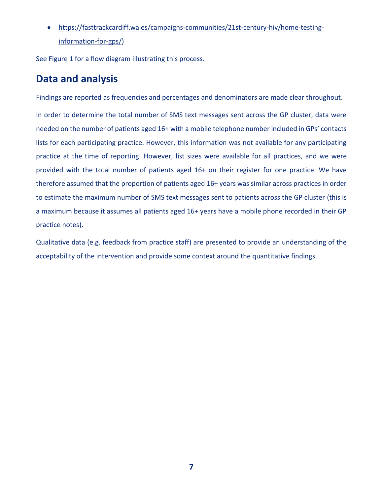[https://fasttrackcardiff.wales/campaigns-communities/21st-century-hiv/home-testing](https://fasttrackcardiff.wales/campaigns-communities/21st-century-hiv/home-testing-information-for-gps/)[information-for-gps/\)](https://fasttrackcardiff.wales/campaigns-communities/21st-century-hiv/home-testing-information-for-gps/)

See Figure 1 for a flow diagram illustrating this process.

# <span id="page-6-0"></span>**Data and analysis**

Findings are reported as frequencies and percentages and denominators are made clear throughout.

In order to determine the total number of SMS text messages sent across the GP cluster, data were needed on the number of patients aged 16+ with a mobile telephone number included in GPs' contacts lists for each participating practice. However, this information was not available for any participating practice at the time of reporting. However, list sizes were available for all practices, and we were provided with the total number of patients aged 16+ on their register for one practice. We have therefore assumed that the proportion of patients aged 16+ years was similar across practices in order to estimate the maximum number of SMS text messages sent to patients across the GP cluster (this is a maximum because it assumes all patients aged 16+ years have a mobile phone recorded in their GP practice notes).

Qualitative data (e.g. feedback from practice staff) are presented to provide an understanding of the acceptability of the intervention and provide some context around the quantitative findings.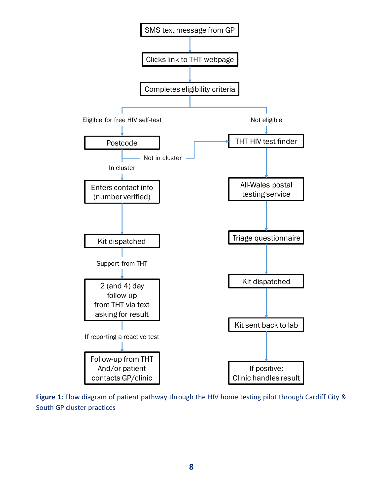

**Figure 1:** Flow diagram of patient pathway through the HIV home testing pilot through Cardiff City & South GP cluster practices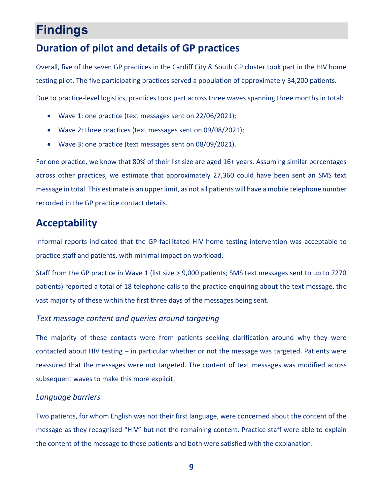# <span id="page-8-0"></span>**Findings**

# <span id="page-8-1"></span>**Duration of pilot and details of GP practices**

Overall, five of the seven GP practices in the Cardiff City & South GP cluster took part in the HIV home testing pilot. The five participating practices served a population of approximately 34,200 patients.

Due to practice-level logistics, practices took part across three waves spanning three months in total:

- Wave 1: one practice (text messages sent on 22/06/2021);
- Wave 2: three practices (text messages sent on 09/08/2021);
- Wave 3: one practice (text messages sent on 08/09/2021).

For one practice, we know that 80% of their list size are aged 16+ years. Assuming similar percentages across other practices, we estimate that approximately 27,360 could have been sent an SMS text message in total. This estimate is an upper limit, as not all patients will have a mobile telephone number recorded in the GP practice contact details.

## <span id="page-8-2"></span>**Acceptability**

Informal reports indicated that the GP-facilitated HIV home testing intervention was acceptable to practice staff and patients, with minimal impact on workload.

Staff from the GP practice in Wave 1 (list size > 9,000 patients; SMS text messages sent to up to 7270 patients) reported a total of 18 telephone calls to the practice enquiring about the text message, the vast majority of these within the first three days of the messages being sent.

#### *Text message content and queries around targeting*

The majority of these contacts were from patients seeking clarification around why they were contacted about HIV testing – in particular whether or not the message was targeted. Patients were reassured that the messages were not targeted. The content of text messages was modified across subsequent waves to make this more explicit.

#### *Language barriers*

Two patients, for whom English was not their first language, were concerned about the content of the message as they recognised "HIV" but not the remaining content. Practice staff were able to explain the content of the message to these patients and both were satisfied with the explanation.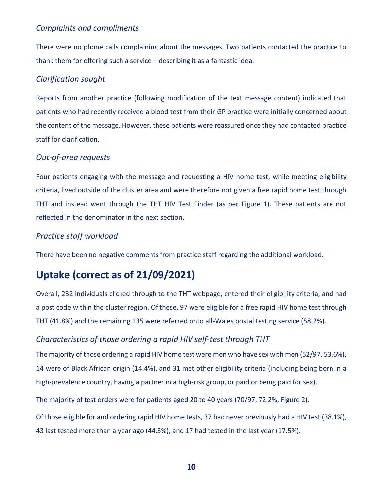#### *Complaints and compliments*

There were no phone calls complaining about the messages. Two patients contacted the practice to thank them for offering such a service – describing it as a fantastic idea.

#### *Clarification sought*

Reports from another practice (following modification of the text message content) indicated that patients who had recently received a blood test from their GP practice were initially concerned about the content of the message. However, these patients were reassured once they had contacted practice staff for clarification.

#### *Out-of-area requests*

Four patients engaging with the message and requesting a HIV home test, while meeting eligibility criteria, lived outside of the cluster area and were therefore not given a free rapid home test through THT and instead went through the THT HIV Test Finder (as per Figure 1). These patients are not reflected in the denominator in the next section.

#### *Practice staff workload*

There have been no negative comments from practice staff regarding the additional workload.

# <span id="page-9-0"></span>**Uptake (correct as of 21/09/2021)**

Overall, 232 individuals clicked through to the THT webpage, entered their eligibility criteria, and had a post code within the cluster region. Of these, 97 were eligible for a free rapid HIV home test through THT (41.8%) and the remaining 135 were referred onto all-Wales postal testing service (58.2%).

#### *Characteristics of those ordering a rapid HIV self-test through THT*

The majority of those ordering a rapid HIV home test were men who have sex with men (52/97, 53.6%), 14 were of Black African origin (14.4%), and 31 met other eligibility criteria (including being born in a high-prevalence country, having a partner in a high-risk group, or paid or being paid for sex).

The majority of test orders were for patients aged 20 to 40 years (70/97, 72.2%, Figure 2).

Of those eligible for and ordering rapid HIV home tests, 37 had never previously had a HIV test (38.1%), 43 last tested more than a year ago (44.3%), and 17 had tested in the last year (17.5%).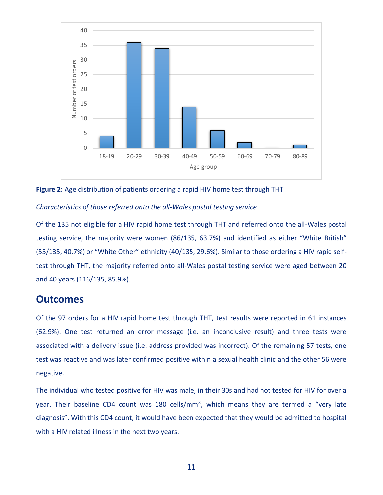



#### *Characteristics of those referred onto the all-Wales postal testing service*

Of the 135 not eligible for a HIV rapid home test through THT and referred onto the all-Wales postal testing service, the majority were women (86/135, 63.7%) and identified as either "White British" (55/135, 40.7%) or "White Other" ethnicity (40/135, 29.6%). Similar to those ordering a HIV rapid selftest through THT, the majority referred onto all-Wales postal testing service were aged between 20 and 40 years (116/135, 85.9%).

#### <span id="page-10-0"></span>**Outcomes**

Of the 97 orders for a HIV rapid home test through THT, test results were reported in 61 instances (62.9%). One test returned an error message (i.e. an inconclusive result) and three tests were associated with a delivery issue (i.e. address provided was incorrect). Of the remaining 57 tests, one test was reactive and was later confirmed positive within a sexual health clinic and the other 56 were negative.

The individual who tested positive for HIV was male, in their 30s and had not tested for HIV for over a year. Their baseline CD4 count was 180 cells/mm<sup>3</sup>, which means they are termed a "very late diagnosis". With this CD4 count, it would have been expected that they would be admitted to hospital with a HIV related illness in the next two years.

**11**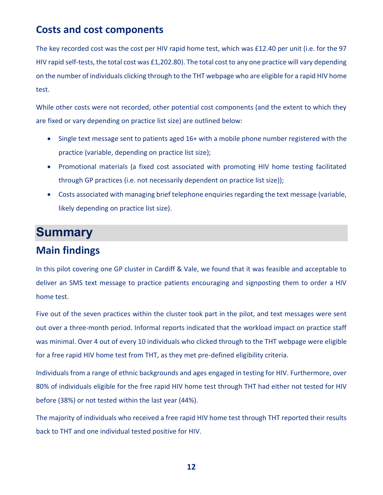## <span id="page-11-0"></span>**Costs and cost components**

The key recorded cost was the cost per HIV rapid home test, which was £12.40 per unit (i.e. for the 97 HIV rapid self-tests, the total cost was £1,202.80). The total cost to any one practice will vary depending on the number of individuals clicking through to the THT webpage who are eligible for a rapid HIV home test.

While other costs were not recorded, other potential cost components (and the extent to which they are fixed or vary depending on practice list size) are outlined below:

- Single text message sent to patients aged 16+ with a mobile phone number registered with the practice (variable, depending on practice list size);
- Promotional materials (a fixed cost associated with promoting HIV home testing facilitated through GP practices (i.e. not necessarily dependent on practice list size));
- Costs associated with managing brief telephone enquiries regarding the text message (variable, likely depending on practice list size).

# <span id="page-11-1"></span>**Summary**

## <span id="page-11-2"></span>**Main findings**

In this pilot covering one GP cluster in Cardiff & Vale, we found that it was feasible and acceptable to deliver an SMS text message to practice patients encouraging and signposting them to order a HIV home test.

Five out of the seven practices within the cluster took part in the pilot, and text messages were sent out over a three-month period. Informal reports indicated that the workload impact on practice staff was minimal. Over 4 out of every 10 individuals who clicked through to the THT webpage were eligible for a free rapid HIV home test from THT, as they met pre-defined eligibility criteria.

Individuals from a range of ethnic backgrounds and ages engaged in testing for HIV. Furthermore, over 80% of individuals eligible for the free rapid HIV home test through THT had either not tested for HIV before (38%) or not tested within the last year (44%).

The majority of individuals who received a free rapid HIV home test through THT reported their results back to THT and one individual tested positive for HIV.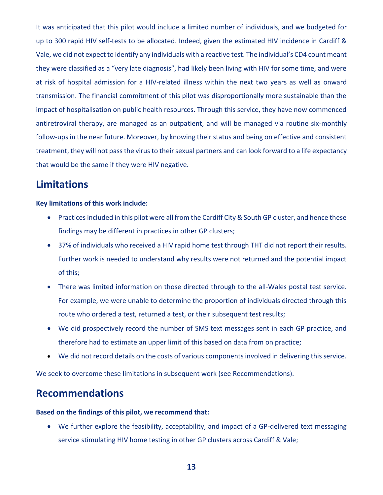It was anticipated that this pilot would include a limited number of individuals, and we budgeted for up to 300 rapid HIV self-tests to be allocated. Indeed, given the estimated HIV incidence in Cardiff & Vale, we did not expect to identify any individuals with a reactive test. The individual's CD4 count meant they were classified as a "very late diagnosis", had likely been living with HIV for some time, and were at risk of hospital admission for a HIV-related illness within the next two years as well as onward transmission. The financial commitment of this pilot was disproportionally more sustainable than the impact of hospitalisation on public health resources. Through this service, they have now commenced antiretroviral therapy, are managed as an outpatient, and will be managed via routine six-monthly follow-ups in the near future. Moreover, by knowing their status and being on effective and consistent treatment, they will not pass the virus to their sexual partners and can look forward to a life expectancy that would be the same if they were HIV negative.

# <span id="page-12-0"></span>**Limitations**

#### **Key limitations of this work include:**

- Practices included in this pilot were all from the Cardiff City & South GP cluster, and hence these findings may be different in practices in other GP clusters;
- 37% of individuals who received a HIV rapid home test through THT did not report their results. Further work is needed to understand why results were not returned and the potential impact of this;
- There was limited information on those directed through to the all-Wales postal test service. For example, we were unable to determine the proportion of individuals directed through this route who ordered a test, returned a test, or their subsequent test results;
- We did prospectively record the number of SMS text messages sent in each GP practice, and therefore had to estimate an upper limit of this based on data from on practice;
- We did not record details on the costs of various components involved in delivering this service.

We seek to overcome these limitations in subsequent work (see Recommendations).

## <span id="page-12-1"></span>**Recommendations**

#### **Based on the findings of this pilot, we recommend that:**

 We further explore the feasibility, acceptability, and impact of a GP-delivered text messaging service stimulating HIV home testing in other GP clusters across Cardiff & Vale;